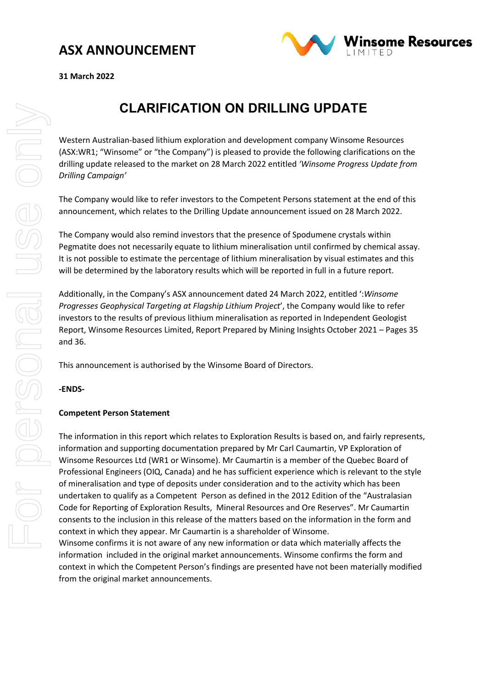

**31 March 2022** 

## **CLARIFICATION ON DRILLING UPDATE**

Western Australian-based lithium exploration and development company Winsome Resources (ASX:WR1; "Winsome" or "the Company") is pleased to provide the following clarifications on the drilling update released to the market on 28 March 2022 entitled *'Winsome Progress Update from Drilling Campaign'*

The Company would like to refer investors to the Competent Persons statement at the end of this announcement, which relates to the Drilling Update announcement issued on 28 March 2022.

The Company would also remind investors that the presence of Spodumene crystals within Pegmatite does not necessarily equate to lithium mineralisation until confirmed by chemical assay. It is not possible to estimate the percentage of lithium mineralisation by visual estimates and this will be determined by the laboratory results which will be reported in full in a future report.

Additionally, in the Company's ASX announcement dated 24 March 2022, entitled ':*Winsome Progresses Geophysical Targeting at Flagship Lithium Project*', the Company would like to refer investors to the results of previous lithium mineralisation as reported in Independent Geologist Report, Winsome Resources Limited, Report Prepared by Mining Insights October 2021 – Pages 35 and 36.

This announcement is authorised by the Winsome Board of Directors.

**-ENDS-**

#### **Competent Person Statement**

The information in this report which relates to Exploration Results is based on, and fairly represents, information and supporting documentation prepared by Mr Carl Caumartin, VP Exploration of Winsome Resources Ltd (WR1 or Winsome). Mr Caumartin is a member of the Quebec Board of Professional Engineers (OIQ, Canada) and he has sufficient experience which is relevant to the style of mineralisation and type of deposits under consideration and to the activity which has been undertaken to qualify as a Competent Person as defined in the 2012 Edition of the "Australasian Code for Reporting of Exploration Results, Mineral Resources and Ore Reserves". Mr Caumartin consents to the inclusion in this release of the matters based on the information in the form and context in which they appear. Mr Caumartin is a shareholder of Winsome.

Winsome confirms it is not aware of any new information or data which materially affects the information included in the original market announcements. Winsome confirms the form and context in which the Competent Person's findings are presented have not been materially modified from the original market announcements.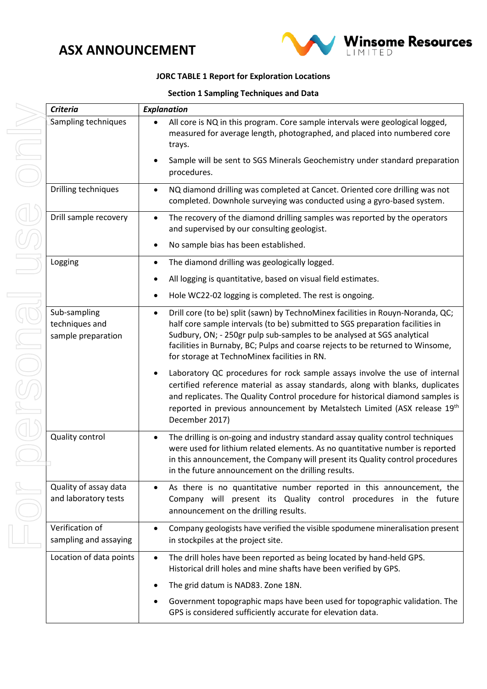

#### **TABLE 1 Report for Exploration Locations**

|  |  | <b>Section 1 Sampling Techniques and Data</b> |  |
|--|--|-----------------------------------------------|--|
|--|--|-----------------------------------------------|--|

|                                                      | JORC TABLE 1 Report for Exploration Locations                                                                                                                                                                                                                                                                                                                                             |  |  |  |  |
|------------------------------------------------------|-------------------------------------------------------------------------------------------------------------------------------------------------------------------------------------------------------------------------------------------------------------------------------------------------------------------------------------------------------------------------------------------|--|--|--|--|
|                                                      | <b>Section 1 Sampling Techniques and Data</b>                                                                                                                                                                                                                                                                                                                                             |  |  |  |  |
| <b>Criteria</b>                                      | <b>Explanation</b>                                                                                                                                                                                                                                                                                                                                                                        |  |  |  |  |
| Sampling techniques                                  | All core is NQ in this program. Core sample intervals were geological logged,<br>measured for average length, photographed, and placed into numbered core<br>trays.                                                                                                                                                                                                                       |  |  |  |  |
|                                                      | Sample will be sent to SGS Minerals Geochemistry under standard preparation<br>procedures.                                                                                                                                                                                                                                                                                                |  |  |  |  |
| Drilling techniques                                  | NQ diamond drilling was completed at Cancet. Oriented core drilling was not<br>$\bullet$<br>completed. Downhole surveying was conducted using a gyro-based system.                                                                                                                                                                                                                        |  |  |  |  |
| Drill sample recovery                                | The recovery of the diamond drilling samples was reported by the operators<br>and supervised by our consulting geologist.                                                                                                                                                                                                                                                                 |  |  |  |  |
|                                                      | No sample bias has been established.                                                                                                                                                                                                                                                                                                                                                      |  |  |  |  |
| Logging                                              | The diamond drilling was geologically logged.                                                                                                                                                                                                                                                                                                                                             |  |  |  |  |
|                                                      | All logging is quantitative, based on visual field estimates.                                                                                                                                                                                                                                                                                                                             |  |  |  |  |
|                                                      | Hole WC22-02 logging is completed. The rest is ongoing.                                                                                                                                                                                                                                                                                                                                   |  |  |  |  |
| Sub-sampling<br>techniques and<br>sample preparation | Drill core (to be) split (sawn) by TechnoMinex facilities in Rouyn-Noranda, QC;<br>$\bullet$<br>half core sample intervals (to be) submitted to SGS preparation facilities in<br>Sudbury, ON; - 250gr pulp sub-samples to be analysed at SGS analytical<br>facilities in Burnaby, BC; Pulps and coarse rejects to be returned to Winsome,<br>for storage at TechnoMinex facilities in RN. |  |  |  |  |
|                                                      | Laboratory QC procedures for rock sample assays involve the use of internal<br>٠<br>certified reference material as assay standards, along with blanks, duplicates<br>and replicates. The Quality Control procedure for historical diamond samples is<br>reported in previous announcement by Metalstech Limited (ASX release 19th<br>December 2017)                                      |  |  |  |  |
| Quality control                                      | The drilling is on-going and industry standard assay quality control techniques<br>were used for lithium related elements. As no quantitative number is reported<br>in this announcement, the Company will present its Quality control procedures<br>in the future announcement on the drilling results.                                                                                  |  |  |  |  |
| Quality of assay data<br>and laboratory tests        | As there is no quantitative number reported in this announcement, the<br>$\bullet$<br>Company will present its Quality control procedures in the future<br>announcement on the drilling results.                                                                                                                                                                                          |  |  |  |  |
| Verification of<br>sampling and assaying             | Company geologists have verified the visible spodumene mineralisation present<br>$\bullet$<br>in stockpiles at the project site.                                                                                                                                                                                                                                                          |  |  |  |  |
| Location of data points                              | The drill holes have been reported as being located by hand-held GPS.<br>$\bullet$<br>Historical drill holes and mine shafts have been verified by GPS.                                                                                                                                                                                                                                   |  |  |  |  |

The grid datum is NAD83. Zone 18N. • Government topographic maps have been used for topographic validation. The GPS is considered sufficiently accurate for elevation data.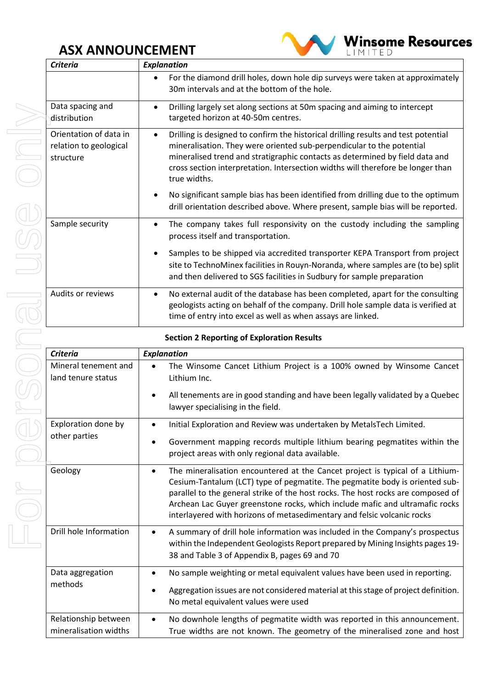

| <b>Criteria</b>                                               | <b>Explanation</b>                                                                                                                                                                                                                                                                                                                                          |  |  |
|---------------------------------------------------------------|-------------------------------------------------------------------------------------------------------------------------------------------------------------------------------------------------------------------------------------------------------------------------------------------------------------------------------------------------------------|--|--|
|                                                               | For the diamond drill holes, down hole dip surveys were taken at approximately<br>30m intervals and at the bottom of the hole.                                                                                                                                                                                                                              |  |  |
| Data spacing and<br>distribution                              | Drilling largely set along sections at 50m spacing and aiming to intercept<br>$\bullet$<br>targeted horizon at 40-50m centres.                                                                                                                                                                                                                              |  |  |
| Orientation of data in<br>relation to geological<br>structure | Drilling is designed to confirm the historical drilling results and test potential<br>$\bullet$<br>mineralisation. They were oriented sub-perpendicular to the potential<br>mineralised trend and stratigraphic contacts as determined by field data and<br>cross section interpretation. Intersection widths will therefore be longer than<br>true widths. |  |  |
|                                                               | No significant sample bias has been identified from drilling due to the optimum<br>drill orientation described above. Where present, sample bias will be reported.                                                                                                                                                                                          |  |  |
| Sample security                                               | The company takes full responsivity on the custody including the sampling<br>$\bullet$<br>process itself and transportation.                                                                                                                                                                                                                                |  |  |
|                                                               | Samples to be shipped via accredited transporter KEPA Transport from project<br>site to TechnoMinex facilities in Rouyn-Noranda, where samples are (to be) split<br>and then delivered to SGS facilities in Sudbury for sample preparation                                                                                                                  |  |  |
| Audits or reviews                                             | No external audit of the database has been completed, apart for the consulting<br>$\bullet$<br>geologists acting on behalf of the company. Drill hole sample data is verified at<br>time of entry into excel as well as when assays are linked.                                                                                                             |  |  |

#### **Section 2 Reporting of Exploration Results**

| <b>Criteria</b>                               | <b>Explanation</b>                                                                                                                                                                                                                                                                                                                                                                                                        |
|-----------------------------------------------|---------------------------------------------------------------------------------------------------------------------------------------------------------------------------------------------------------------------------------------------------------------------------------------------------------------------------------------------------------------------------------------------------------------------------|
| Mineral tenement and<br>land tenure status    | The Winsome Cancet Lithium Project is a 100% owned by Winsome Cancet<br>Lithium Inc.                                                                                                                                                                                                                                                                                                                                      |
|                                               | All tenements are in good standing and have been legally validated by a Quebec<br>lawyer specialising in the field.                                                                                                                                                                                                                                                                                                       |
| Exploration done by<br>other parties          | Initial Exploration and Review was undertaken by MetalsTech Limited.                                                                                                                                                                                                                                                                                                                                                      |
|                                               | Government mapping records multiple lithium bearing pegmatites within the<br>$\bullet$<br>project areas with only regional data available.                                                                                                                                                                                                                                                                                |
| Geology                                       | The mineralisation encountered at the Cancet project is typical of a Lithium-<br>$\bullet$<br>Cesium-Tantalum (LCT) type of pegmatite. The pegmatite body is oriented sub-<br>parallel to the general strike of the host rocks. The host rocks are composed of<br>Archean Lac Guyer greenstone rocks, which include mafic and ultramafic rocks<br>interlayered with horizons of metasedimentary and felsic volcanic rocks |
| Drill hole Information                        | A summary of drill hole information was included in the Company's prospectus<br>within the Independent Geologists Report prepared by Mining Insights pages 19-<br>38 and Table 3 of Appendix B, pages 69 and 70                                                                                                                                                                                                           |
| Data aggregation<br>methods                   | No sample weighting or metal equivalent values have been used in reporting.<br>$\bullet$                                                                                                                                                                                                                                                                                                                                  |
|                                               | Aggregation issues are not considered material at this stage of project definition.<br>No metal equivalent values were used                                                                                                                                                                                                                                                                                               |
| Relationship between<br>mineralisation widths | No downhole lengths of pegmatite width was reported in this announcement.<br>$\bullet$<br>True widths are not known. The geometry of the mineralised zone and host                                                                                                                                                                                                                                                        |